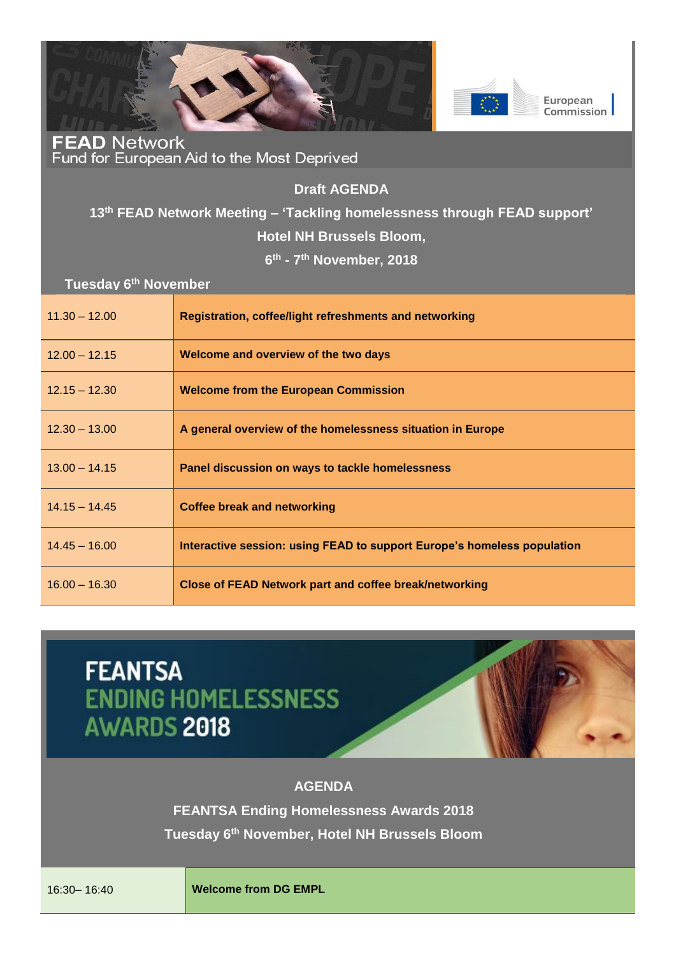



**FEAD Network**<br>Fund for European Aid to the Most Deprived

**Draft AGENDA** 

## **13th FEAD Network Meeting – 'Tackling homelessness through FEAD support' Hotel NH Brussels Bloom,**

**6 th - 7 th November, 2018**

**Tuesday 6th November**

| $11.30 - 12.00$ | Registration, coffee/light refreshments and networking                  |
|-----------------|-------------------------------------------------------------------------|
| $12.00 - 12.15$ | Welcome and overview of the two days                                    |
| $12.15 - 12.30$ | <b>Welcome from the European Commission</b>                             |
| $12.30 - 13.00$ | A general overview of the homelessness situation in Europe              |
| $13.00 - 14.15$ | Panel discussion on ways to tackle homelessness                         |
| $14.15 - 14.45$ | <b>Coffee break and networking</b>                                      |
| $14.45 - 16.00$ | Interactive session: using FEAD to support Europe's homeless population |
| $16.00 - 16.30$ | <b>Close of FEAD Network part and coffee break/networking</b>           |

## **FEANTSA ENDING HOMELESSNESS AWARDS 2018**



**FEANTSA Ending Homelessness Awards 2018 Tuesday 6th November, Hotel NH Brussels Bloom**

16:30– 16:40 **Welcome from DG EMPL**